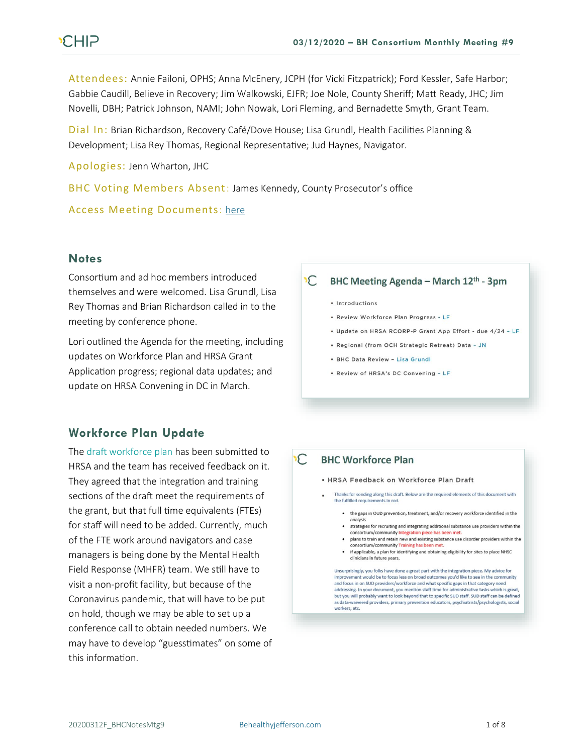# **CHIP**

Attendees: Annie Failoni, OPHS; Anna McEnery, JCPH (for Vicki Fitzpatrick); Ford Kessler, Safe Harbor; Gabbie Caudill, Believe in Recovery; Jim Walkowski, EJFR; Joe Nole, County Sheriff; Matt Ready, JHC; Jim Novelli, DBH; Patrick Johnson, NAMI; John Nowak, Lori Fleming, and Bernadette Smyth, Grant Team.

Dial In: Brian Richardson, Recovery Café/Dove House; Lisa Grundl, Health Facilities Planning & Development; Lisa Rey Thomas, Regional Representative; Jud Haynes, Navigator.

Apologies: Jenn Wharton, JHC

BHC Voting Members Absent: James Kennedy, County Prosecutor's office

#### Access Meeting Documents: [here](https://www.behealthyjefferson.com/copy-of-meeting-minutes)

#### **Notes**

Consortium and ad hoc members introduced themselves and were welcomed. Lisa Grundl, Lisa Rey Thomas and Brian Richardson called in to the meeting by conference phone.

Lori outlined the Agenda for the meeting, including updates on Workforce Plan and HRSA Grant Application progress; regional data updates; and update on HRSA Convening in DC in March.

### **Workforce Plan Update**

The draft workforce plan has been submitted to HRSA and the team has received feedback on it. They agreed that the integration and training sections of the draft meet the requirements of the grant, but that full time equivalents (FTEs) for staff will need to be added. Currently, much of the FTE work around navigators and case managers is being done by the Mental Health Field Response (MHFR) team. We still have to visit a non-profit facility, but because of the Coronavirus pandemic, that will have to be put on hold, though we may be able to set up a conference call to obtain needed numbers. We may have to develop "guesstimates" on some of this information.

#### $\mathcal{C}$ BHC Meeting Agenda - March 12th - 3pm

- · Introductions
- Review Workforce Plan Progress LF
- · Update on HRSA RCORP-P Grant App Effort due 4/24 LF
- Regional (from OCH Strategic Retreat) Data JN
- BHC Data Review Lisa Grundl
- \* Review of HRSA's DC Convening LF

#### **BHC Workforce Plan**  $\mathcal{C}$

- . HRSA Feedback on Workforce Plan Draft
- Thanks for sending along this draft. Below are the required elements of this document with the fulfilled requirements in red.
	- the gaps in OUD prevention, treatment, and/or recovery workforce identified in the analysis
	- strategies for recruiting and integrating additional substance use providers within the consortium/community Integration pie ce has been met.
	- . plans to train and retain new and existing substance use disorder providers within the consortium/community Training has been
	- if applicable, a plan for identifying and obtaining eligibility for sites to place NHSC clinicians in future years.

Unsurprisingly, you folks have done a great part with the integration piece. My advice for improvement would be to focus less on broad outcomes you'd like to see in the community and focus in on SUD providers/workforce and what specific gaps in that category ne addressing. In your document, you mention staff time for administrative tasks which is great,<br>but you will probably want to look beyond that to specific SUD staff. SUD staff can be defined as data-waivered providers, primary prevention educators, psychiatrists/psychologists, social workers, etc.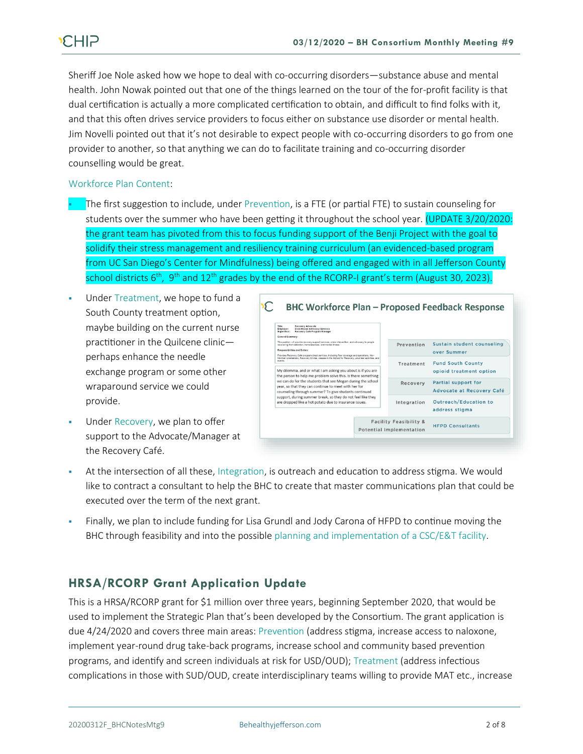Sheriff Joe Nole asked how we hope to deal with co-occurring disorders—substance abuse and mental health. John Nowak pointed out that one of the things learned on the tour of the for-profit facility is that dual certification is actually a more complicated certification to obtain, and difficult to find folks with it, and that this often drives service providers to focus either on substance use disorder or mental health. Jim Novelli pointed out that it's not desirable to expect people with co-occurring disorders to go from one provider to another, so that anything we can do to facilitate training and co-occurring disorder counselling would be great.

#### Workforce Plan Content:

- The first suggestion to include, under Prevention, is a FTE (or partial FTE) to sustain counseling for students over the summer who have been getting it throughout the school year. (UPDATE 3/20/2020: the grant team has pivoted from this to focus funding support of the Benji Project with the goal to solidify their stress management and resiliency training curriculum (an evidenced-based program from UC San Diego's Center for Mindfulness) being offered and engaged with in all Jefferson County school districts 6<sup>th</sup>, 9<sup>th</sup> and 12<sup>th</sup> grades by the end of the RCORP-I grant's term (August 30, 2023).
- Under Treatment, we hope to fund a South County treatment option, maybe building on the current nurse practitioner in the Quilcene clinic perhaps enhance the needle exchange program or some other wraparound service we could provide.
- Under Recovery, we plan to offer support to the Advocate/Manager at the Recovery Café.

| Title:<br>Recovery Advocate                                                                                                                                                                          |                        |                            |
|------------------------------------------------------------------------------------------------------------------------------------------------------------------------------------------------------|------------------------|----------------------------|
| Employer:<br>Dove House Advocacy Services<br>Recovery Café Program Manager<br>Supervisor:                                                                                                            |                        |                            |
| General Summary:                                                                                                                                                                                     |                        |                            |
| This position will provide recovery support services, crisis intervention, and advocacy to people<br>recovering from addiction, homelessness, and mental liness.                                     | Prevention             | Sustain student counseling |
| Responsibilities and Duties:                                                                                                                                                                         |                        | over Summer                |
| Provides Recovery Café program direct services, including floor coverage and operations, New<br>Member orientations. Recovery Circles, classes in the School for Recovery, volunteer activities, and |                        |                            |
| events.                                                                                                                                                                                              | Treatment              | <b>Fund South County</b>   |
| My dilemma, and or what I am asking you about is if you are                                                                                                                                          |                        | opioid treatment option    |
| the person to help me problem solve this. Is there something                                                                                                                                         |                        |                            |
| we can do for the students that see Megan during the school                                                                                                                                          | Recovery               | Partial support for        |
| year, so that they can continue to meet with her for                                                                                                                                                 |                        | Advocate at Recovery Café  |
| counseling through summer? To give students continued<br>support, during summer break, so they do not feel like they                                                                                 |                        |                            |
| are dropped like a hot potato due to insurance issues.                                                                                                                                               | Integration            | Outreach/Education to      |
|                                                                                                                                                                                                      |                        | address stigma             |
|                                                                                                                                                                                                      |                        |                            |
|                                                                                                                                                                                                      | Facility Feasibility & |                            |
|                                                                                                                                                                                                      |                        | <b>HFPD Consultants</b>    |

- At the intersection of all these, Integration, is outreach and education to address stigma. We would like to contract a consultant to help the BHC to create that master communications plan that could be executed over the term of the next grant.
- Finally, we plan to include funding for Lisa Grundl and Jody Carona of HFPD to continue moving the BHC through feasibility and into the possible planning and implementation of a CSC/E&T facility.

## **HRSA/RCORP Grant Application Update**

This is a HRSA/RCORP grant for \$1 million over three years, beginning September 2020, that would be used to implement the Strategic Plan that's been developed by the Consortium. The grant application is due 4/24/2020 and covers three main areas: Prevention (address stigma, increase access to naloxone, implement year-round drug take-back programs, increase school and community based prevention programs, and identify and screen individuals at risk for USD/OUD); Treatment (address infectious complications in those with SUD/OUD, create interdisciplinary teams willing to provide MAT etc., increase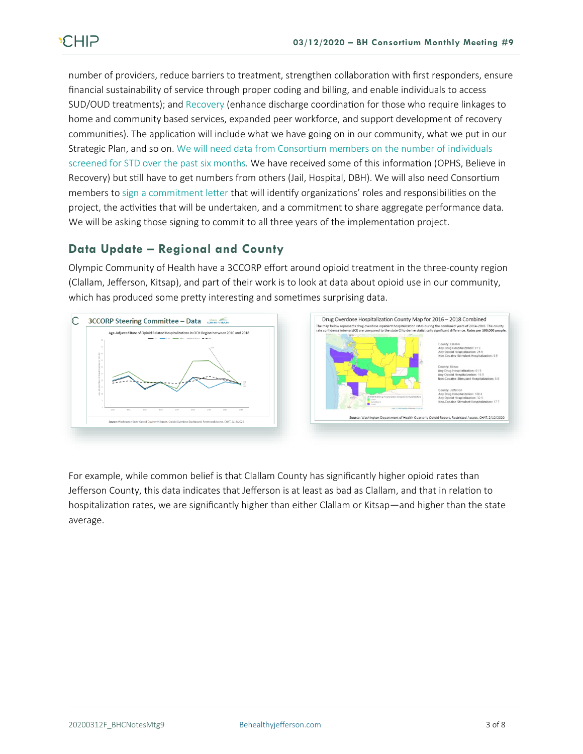number of providers, reduce barriers to treatment, strengthen collaboration with first responders, ensure financial sustainability of service through proper coding and billing, and enable individuals to access SUD/OUD treatments); and Recovery (enhance discharge coordination for those who require linkages to home and community based services, expanded peer workforce, and support development of recovery communities). The application will include what we have going on in our community, what we put in our Strategic Plan, and so on. We will need data from Consortium members on the number of individuals screened for STD over the past six months. We have received some of this information (OPHS, Believe in Recovery) but still have to get numbers from others (Jail, Hospital, DBH). We will also need Consortium members to sign a commitment letter that will identify organizations' roles and responsibilities on the project, the activities that will be undertaken, and a commitment to share aggregate performance data. We will be asking those signing to commit to all three years of the implementation project.

## **Data Update – Regional and County**

Olympic Community of Health have a 3CCORP effort around opioid treatment in the three-county region (Clallam, Jefferson, Kitsap), and part of their work is to look at data about opioid use in our community, which has produced some pretty interesting and sometimes surprising data.



For example, while common belief is that Clallam County has significantly higher opioid rates than Jefferson County, this data indicates that Jefferson is at least as bad as Clallam, and that in relation to hospitalization rates, we are significantly higher than either Clallam or Kitsap—and higher than the state average.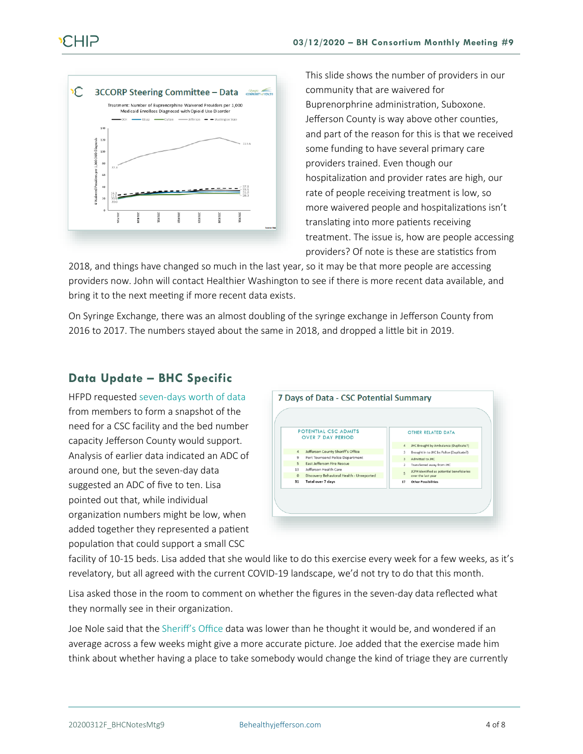

This slide shows the number of providers in our community that are waivered for Buprenorphrine administration, Suboxone. Jefferson County is way above other counties, and part of the reason for this is that we received some funding to have several primary care providers trained. Even though our hospitalization and provider rates are high, our rate of people receiving treatment is low, so more waivered people and hospitalizations isn't translating into more patients receiving treatment. The issue is, how are people accessing providers? Of note is these are statistics from

2018, and things have changed so much in the last year, so it may be that more people are accessing providers now. John will contact Healthier Washington to see if there is more recent data available, and bring it to the next meeting if more recent data exists.

On Syringe Exchange, there was an almost doubling of the syringe exchange in Jefferson County from 2016 to 2017. The numbers stayed about the same in 2018, and dropped a little bit in 2019.

## **Data Update – BHC Specific**

HFPD requested seven-days worth of data from members to form a snapshot of the need for a CSC facility and the bed number capacity Jefferson County would support. Analysis of earlier data indicated an ADC of around one, but the seven-day data suggested an ADC of five to ten. Lisa pointed out that, while individual organization numbers might be low, when added together they represented a patient population that could support a small CSC



facility of 10-15 beds. Lisa added that she would like to do this exercise every week for a few weeks, as it's revelatory, but all agreed with the current COVID-19 landscape, we'd not try to do that this month.

Lisa asked those in the room to comment on whether the figures in the seven-day data reflected what they normally see in their organization.

Joe Nole said that the Sheriff's Office data was lower than he thought it would be, and wondered if an average across a few weeks might give a more accurate picture. Joe added that the exercise made him think about whether having a place to take somebody would change the kind of triage they are currently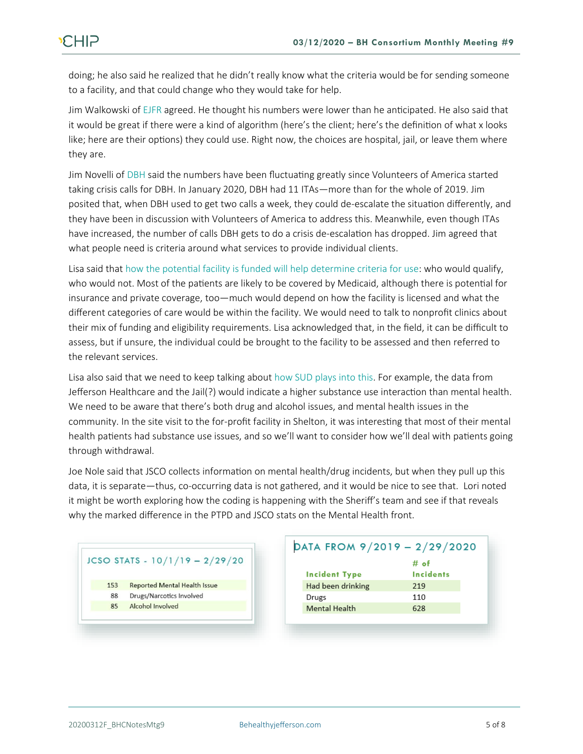doing; he also said he realized that he didn't really know what the criteria would be for sending someone to a facility, and that could change who they would take for help.

Jim Walkowski of EJFR agreed. He thought his numbers were lower than he anticipated. He also said that it would be great if there were a kind of algorithm (here's the client; here's the definition of what x looks like; here are their options) they could use. Right now, the choices are hospital, jail, or leave them where they are.

Jim Novelli of DBH said the numbers have been fluctuating greatly since Volunteers of America started taking crisis calls for DBH. In January 2020, DBH had 11 ITAs—more than for the whole of 2019. Jim posited that, when DBH used to get two calls a week, they could de-escalate the situation differently, and they have been in discussion with Volunteers of America to address this. Meanwhile, even though ITAs have increased, the number of calls DBH gets to do a crisis de-escalation has dropped. Jim agreed that what people need is criteria around what services to provide individual clients.

Lisa said that how the potential facility is funded will help determine criteria for use: who would qualify, who would not. Most of the patients are likely to be covered by Medicaid, although there is potential for insurance and private coverage, too—much would depend on how the facility is licensed and what the different categories of care would be within the facility. We would need to talk to nonprofit clinics about their mix of funding and eligibility requirements. Lisa acknowledged that, in the field, it can be difficult to assess, but if unsure, the individual could be brought to the facility to be assessed and then referred to the relevant services.

Lisa also said that we need to keep talking about how SUD plays into this. For example, the data from Jefferson Healthcare and the Jail(?) would indicate a higher substance use interaction than mental health. We need to be aware that there's both drug and alcohol issues, and mental health issues in the community. In the site visit to the for-profit facility in Shelton, it was interesting that most of their mental health patients had substance use issues, and so we'll want to consider how we'll deal with patients going through withdrawal.

Joe Nole said that JSCO collects information on mental health/drug incidents, but when they pull up this data, it is separate—thus, co-occurring data is not gathered, and it would be nice to see that. Lori noted it might be worth exploring how the coding is happening with the Sheriff's team and see if that reveals why the marked difference in the PTPD and JSCO stats on the Mental Health front.

#### JCSO STATS -  $10/1/19 - 2/29/20$

- 153 **Reported Mental Health Issue**
- 88 Drugs/Narcotics Involved
- 85 Alcohol Involved

| DATA FROM 9/2019 - 2/29/2020 |                  |  |
|------------------------------|------------------|--|
|                              | # of             |  |
| <b>Incident Type</b>         | <b>Incidents</b> |  |
| Had been drinking            | 219              |  |
| Drugs                        | 110              |  |
| <b>Mental Health</b>         | 628              |  |
|                              |                  |  |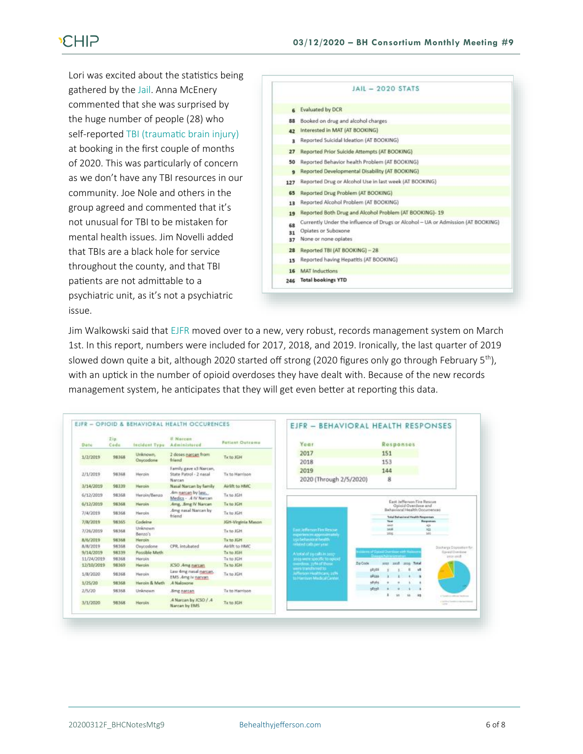# **CHIP**

Lori was excited about the statistics being gathered by the Jail. Anna McEnery commented that she was surprised by the huge number of people (28) who self-reported TBI (traumatic brain injury) at booking in the first couple of months of 2020. This was particularly of concern as we don't have any TBI resources in our community. Joe Nole and others in the group agreed and commented that it's not unusual for TBI to be mistaken for mental health issues. Jim Novelli added that TBIs are a black hole for service throughout the county, and that TBI patients are not admittable to a psychiatric unit, as it's not a psychiatric issue.



Jim Walkowski said that EJFR moved over to a new, very robust, records management system on March 1st. In this report, numbers were included for 2017, 2018, and 2019. Ironically, the last quarter of 2019 slowed down quite a bit, although 2020 started off strong (2020 figures only go through February 5<sup>th</sup>), with an uptick in the number of opioid overdoses they have dealt with. Because of the new records management system, he anticipates that they will get even better at reporting this data.

| Dete       | Zin.<br>Code | <b>Incident Type</b>  | # Narcun<br>Administored                    | Fatlant Outcome    | Year                                                           |                                                          |          | Responses                   |            |                                                                           |                                                                           |
|------------|--------------|-----------------------|---------------------------------------------|--------------------|----------------------------------------------------------------|----------------------------------------------------------|----------|-----------------------------|------------|---------------------------------------------------------------------------|---------------------------------------------------------------------------|
| 1/2/2019   | 98368        | Unknown.<br>Oxycodone | 2 doses narcan from<br><b>friend</b>        | Tirto JGH          | 2017                                                           |                                                          | 151      |                             |            |                                                                           |                                                                           |
|            |              |                       | Family gave x3 Narcan,                      |                    | 2018                                                           |                                                          | 153      |                             |            |                                                                           |                                                                           |
| 2/1/2019   | 98368        | <b>Heroin</b>         | State Patrol - 2 nasal<br>Narcan            | Tix to Harrison    | 2019<br>2020 (Through 2/5/2020)                                |                                                          | 144<br>8 |                             |            |                                                                           |                                                                           |
| 3/14/2019  | 98339        | Heroin                | Nasal Narcan by family.                     | Airlift to HMC     |                                                                |                                                          |          |                             |            |                                                                           |                                                                           |
| 6/12/2019  | 98368        | Heroin/Benzo          | Am narcan by law.<br>Medics - .4 IV Narcan  | Tx to 16H          |                                                                |                                                          |          |                             |            |                                                                           |                                                                           |
| 6/12/2019  | 98368        | Heroin                | Amg., Smg IV Narcan                         | Tx to JGH          |                                                                | East Jefferson Fire Rescue<br><b>Opioid Overdose and</b> |          |                             |            |                                                                           |                                                                           |
| 7/4/2019   | 98368        | Heroin                | Amg nasal Narcan by<br>friend               | Tx to JGH          |                                                                |                                                          |          |                             |            | Bahavioral Health Occurrences<br><b>Tréal Bahasimal Health Regionsais</b> |                                                                           |
| 7/8/2019   | 98365        | Codeine               |                                             | IGH-Virginia Mason |                                                                |                                                          |          | <b>Nast</b><br><b>SILES</b> |            |                                                                           | <b>Responses</b>                                                          |
| 7/26/2019  | 98368        | Unknown<br>Berran's   |                                             | Tx to JGH.         | <b>Cast Jefferson Fan Bescue</b><br>experiences approximately. |                                                          |          | Solds.<br>2016              |            | MO.                                                                       | 43<br>$161 - 15$                                                          |
| 8/6/2019   | 98368        | Heroin                |                                             | Tx to JGH          | state-havenet health                                           |                                                          |          |                             |            |                                                                           |                                                                           |
| A/R/2019   | 98368        | Oxycodone             | CPR, intubated                              | Airlift to HMC     | related cath per year.                                         |                                                          |          |                             |            |                                                                           | Discharge Disposition for                                                 |
| 9/14/2019  | 98339        | Possible Meth         |                                             | Tx to JGH          | A total of a q calls in a pro-                                 | current Data Derser with Haire                           |          |                             |            |                                                                           | <b>Consid Cheridane</b>                                                   |
| 11/24/2019 | 98368        | Heroin                |                                             | Tv to JGH          | зационные просебе по оргост-                                   |                                                          |          |                             |            |                                                                           | preyent.                                                                  |
| 12/10/2019 | 98369        | Haroin                | <b>ICSO .Amg narcan</b>                     | Tx to JGH          | creations, 72% of those<br>were transformed to                 | <b>Zip Cook</b>                                          | sorr.    | $-3018$                     | sons Tetal |                                                                           |                                                                           |
| 1/8/2020   | 98368        | Heroin                | Law 4mg nasal narcan.<br>EMS .Amg Iv narvan | Tx to JGH          | Jefferson Healthcare, 22%<br>to Harrison Medical Center        | 69109<br>skins                                           |          |                             |            | ×8                                                                        |                                                                           |
| 1/25/20    | 98368        | Heroin & Math         | A Nalosome                                  |                    |                                                                | shirts                                                   |          |                             |            |                                                                           |                                                                           |
| 2/5/20     | 98368        | Unknown               | .8mg naccan                                 | Tx to Harrison     |                                                                | stant                                                    |          |                             |            |                                                                           |                                                                           |
| 3/1/2020   | 98368        | Heroin                | .4 Narcan by JCSO / .4<br>Narcan by EMS     | Tid to JGH         |                                                                |                                                          |          | 38                          | 11         | 38                                                                        | Contractor and the contractor<br>a trainformal framework<br><b>Larger</b> |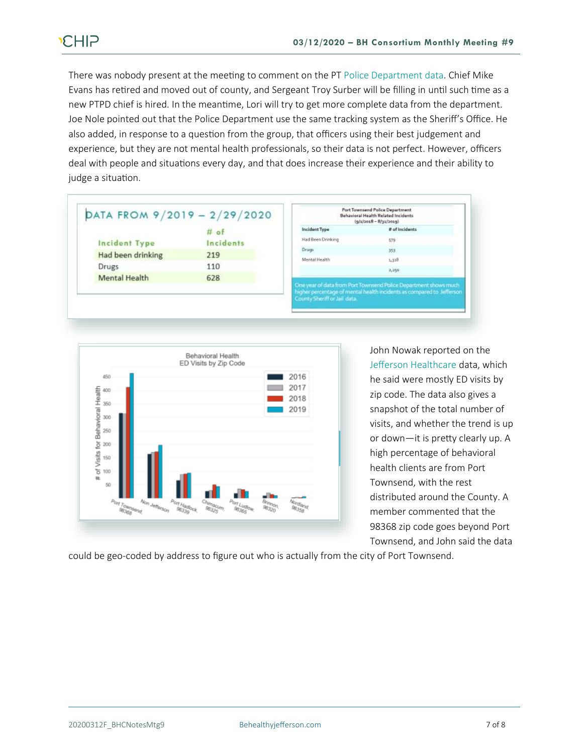There was nobody present at the meeting to comment on the PT Police Department data. Chief Mike Evans has retired and moved out of county, and Sergeant Troy Surber will be filling in until such time as a new PTPD chief is hired. In the meantime, Lori will try to get more complete data from the department. Joe Nole pointed out that the Police Department use the same tracking system as the Sheriff's Office. He also added, in response to a question from the group, that officers using their best judgement and experience, but they are not mental health professionals, so their data is not perfect. However, officers deal with people and situations every day, and that does increase their experience and their ability to judge a situation.

|                      | $#$ of    |
|----------------------|-----------|
| <b>Incident Type</b> | Incidents |
| Had been drinking    | 219       |
| Drugs                | 110       |
| <b>Mental Health</b> | 628       |





John Nowak reported on the Jefferson Healthcare data, which he said were mostly ED visits by zip code. The data also gives a snapshot of the total number of visits, and whether the trend is up or down—it is pretty clearly up. A high percentage of behavioral health clients are from Port Townsend, with the rest distributed around the County. A member commented that the 98368 zip code goes beyond Port Townsend, and John said the data

could be geo-coded by address to figure out who is actually from the city of Port Townsend.